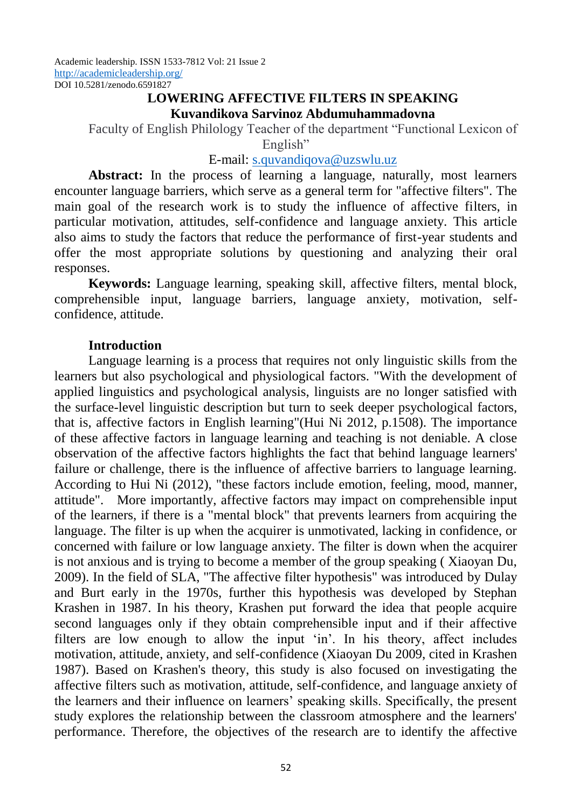#### **LOWERING AFFECTIVE FILTERS IN SPEAKING Kuvandikova Sarvinoz Abdumuhammadovna**

Faculty of English Philology Teacher of the department "Functional Lexicon of English"

## E-mail: [s.quvandiqova@uzswlu.uz](mailto:s.quvandiqova@uzswlu.uz)

**Abstract:** In the process of learning a language, naturally, most learners encounter language barriers, which serve as a general term for "affective filters". The main goal of the research work is to study the influence of affective filters, in particular motivation, attitudes, self-confidence and language anxiety. This article also aims to study the factors that reduce the performance of first-year students and offer the most appropriate solutions by questioning and analyzing their oral responses.

**Keywords:** Language learning, speaking skill, affective filters, mental block, comprehensible input, language barriers, language anxiety, motivation, selfconfidence, attitude.

## **Introduction**

Language learning is a process that requires not only linguistic skills from the learners but also psychological and physiological factors. "With the development of applied linguistics and psychological analysis, linguists are no longer satisfied with the surface-level linguistic description but turn to seek deeper psychological factors, that is, affective factors in English learning"(Hui Ni 2012, p.1508). The importance of these affective factors in language learning and teaching is not deniable. A close observation of the affective factors highlights the fact that behind language learners' failure or challenge, there is the influence of affective barriers to language learning. According to Hui Ni (2012), "these factors include emotion, feeling, mood, manner, attitude". More importantly, affective factors may impact on comprehensible input of the learners, if there is a "mental block" that prevents learners from acquiring the language. The filter is up when the acquirer is unmotivated, lacking in confidence, or concerned with failure or low language anxiety. The filter is down when the acquirer is not anxious and is trying to become a member of the group speaking ( Xiaoyan Du, 2009). In the field of SLA, "The affective filter hypothesis" was introduced by Dulay and Burt early in the 1970s, further this hypothesis was developed by Stephan Krashen in 1987. In his theory, Krashen put forward the idea that people acquire second languages only if they obtain comprehensible input and if their affective filters are low enough to allow the input 'in'. In his theory, affect includes motivation, attitude, anxiety, and self-confidence (Xiaoyan Du 2009, cited in Krashen 1987). Based on Krashen's theory, this study is also focused on investigating the affective filters such as motivation, attitude, self-confidence, and language anxiety of the learners and their influence on learners' speaking skills. Specifically, the present study explores the relationship between the classroom atmosphere and the learners' performance. Therefore, the objectives of the research are to identify the affective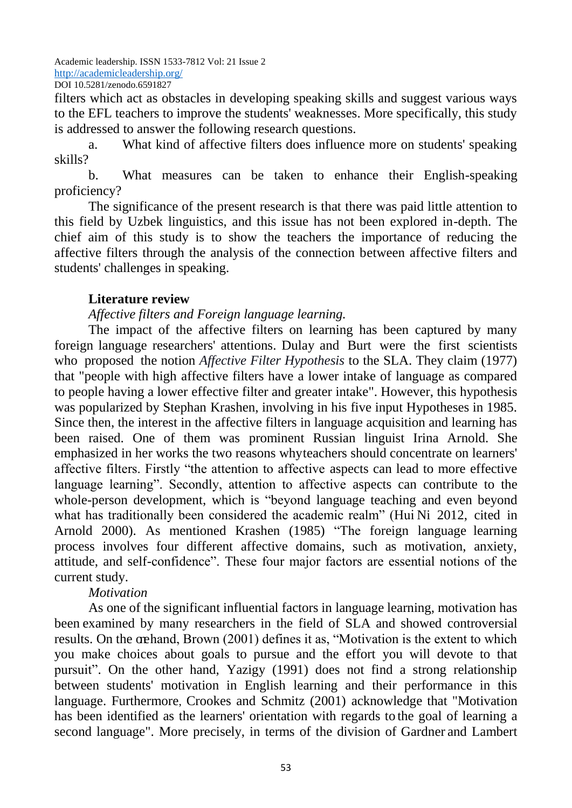filters which act as obstacles in developing speaking skills and suggest various ways to the EFL teachers to improve the students' weaknesses. More specifically, this study is addressed to answer the following research questions.

a. What kind of affective filters does influence more on students' speaking skills?

b. What measures can be taken to enhance their English-speaking proficiency?

The significance of the present research is that there was paid little attention to this field by Uzbek linguistics, and this issue has not been explored in-depth. The chief aim of this study is to show the teachers the importance of reducing the affective filters through the analysis of the connection between affective filters and students' challenges in speaking.

# **Literature review**

# *Affective filters and Foreign language learning.*

The impact of the affective filters on learning has been captured by many foreign language researchers' attentions. Dulay and Burt were the first scientists who proposed the notion *Affective Filter Hypothesis* to the SLA. They claim (1977) that "people with high affective filters have a lower intake of language as compared to people having a lower effective filter and greater intake". However, this hypothesis was popularized by Stephan Krashen, involving in his five input Hypotheses in 1985. Since then, the interest in the affective filters in language acquisition and learning has been raised. One of them was prominent Russian linguist Irina Arnold. She emphasized in her works the two reasons whyteachers should concentrate on learners' affective filters. Firstly "the attention to affective aspects can lead to more effective language learning". Secondly, attention to affective aspects can contribute to the whole-person development, which is "beyond language teaching and even beyond what has traditionally been considered the academic realm" (Hui Ni 2012, cited in Arnold 2000). As mentioned Krashen (1985) "The foreign language learning process involves four different affective domains, such as motivation, anxiety, attitude, and self-confidence". These four major factors are essential notions of the current study.

## *Motivation*

As one of the significant influential factors in language learning, motivation has been examined by many researchers in the field of SLA and showed controversial results. On the orchand, Brown (2001) defines it as, "Motivation is the extent to which you make choices about goals to pursue and the effort you will devote to that pursuit". On the other hand, Yazigy (1991) does not find a strong relationship between students' motivation in English learning and their performance in this language. Furthermore, Crookes and Schmitz (2001) acknowledge that "Motivation has been identified as the learners' orientation with regards to the goal of learning a second language". More precisely, in terms of the division of Gardner and Lambert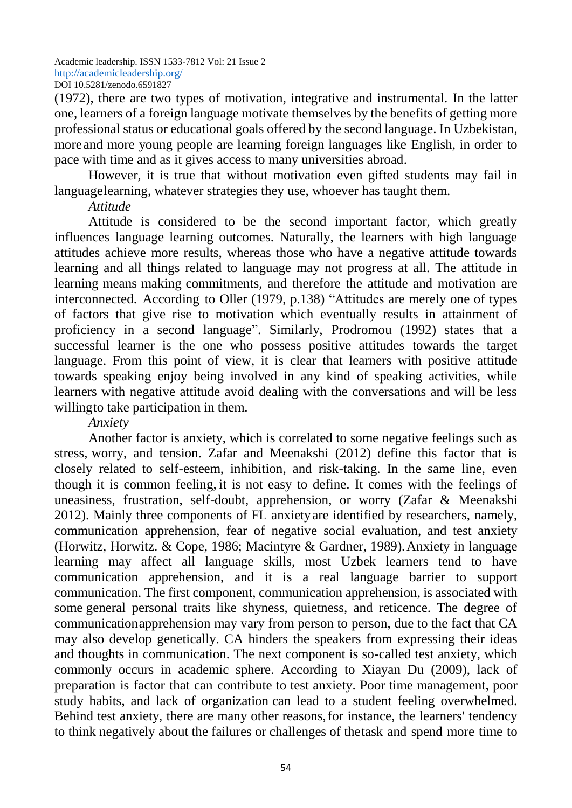(1972), there are two types of motivation, integrative and instrumental. In the latter one, learners of a foreign language motivate themselves by the benefits of getting more professional status or educational goals offered by the second language. In Uzbekistan, more and more young people are learning foreign languages like English, in order to pace with time and as it gives access to many universities abroad.

However, it is true that without motivation even gifted students may fail in languagelearning, whatever strategies they use, whoever has taught them.

# *Attitude*

Attitude is considered to be the second important factor, which greatly influences language learning outcomes. Naturally, the learners with high language attitudes achieve more results, whereas those who have a negative attitude towards learning and all things related to language may not progress at all. The attitude in learning means making commitments, and therefore the attitude and motivation are interconnected. According to Oller (1979, p.138) "Attitudes are merely one of types of factors that give rise to motivation which eventually results in attainment of proficiency in a second language". Similarly, Prodromou (1992) states that a successful learner is the one who possess positive attitudes towards the target language. From this point of view, it is clear that learners with positive attitude towards speaking enjoy being involved in any kind of speaking activities, while learners with negative attitude avoid dealing with the conversations and will be less willingto take participation in them.

## *Anxiety*

Another factor is anxiety, which is correlated to some negative feelings such as stress, worry, and tension. Zafar and Meenakshi (2012) define this factor that is closely related to self-esteem, inhibition, and risk-taking. In the same line, even though it is common feeling, it is not easy to define. It comes with the feelings of uneasiness, frustration, self-doubt, apprehension, or worry (Zafar & Meenakshi 2012). Mainly three components of FL anxietyare identified by researchers, namely, communication apprehension, fear of negative social evaluation, and test anxiety (Horwitz, Horwitz. & Cope, 1986; Macintyre & Gardner, 1989).Anxiety in language learning may affect all language skills, most Uzbek learners tend to have communication apprehension, and it is a real language barrier to support communication. The first component, communication apprehension, is associated with some general personal traits like shyness, quietness, and reticence. The degree of communicationapprehension may vary from person to person, due to the fact that CA may also develop genetically. CA hinders the speakers from expressing their ideas and thoughts in communication. The next component is so-called test anxiety, which commonly occurs in academic sphere. According to Xiayan Du (2009), lack of preparation is factor that can contribute to test anxiety. Poor time management, poor study habits, and lack of organization can lead to a student feeling overwhelmed. Behind test anxiety, there are many other reasons,for instance, the learners' tendency to think negatively about the failures or challenges of thetask and spend more time to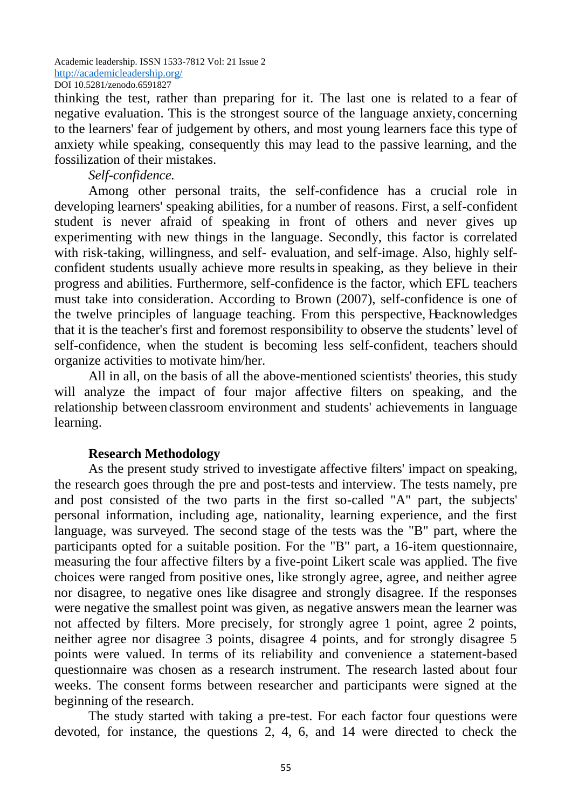thinking the test, rather than preparing for it. The last one is related to a fear of negative evaluation. This is the strongest source of the language anxiety, concerning to the learners' fear of judgement by others, and most young learners face this type of anxiety while speaking, consequently this may lead to the passive learning, and the fossilization of their mistakes.

*Self-confidence.*

Among other personal traits, the self-confidence has a crucial role in developing learners' speaking abilities, for a number of reasons. First, a self-confident student is never afraid of speaking in front of others and never gives up experimenting with new things in the language. Secondly, this factor is correlated with risk-taking, willingness, and self- evaluation, and self-image. Also, highly selfconfident students usually achieve more resultsin speaking, as they believe in their progress and abilities. Furthermore, self-confidence is the factor, which EFL teachers must take into consideration. According to Brown (2007), self-confidence is one of the twelve principles of language teaching. From this perspective, Heacknowledges that it is the teacher's first and foremost responsibility to observe the students' level of self-confidence, when the student is becoming less self-confident, teachers should organize activities to motivate him/her.

All in all, on the basis of all the above-mentioned scientists' theories, this study will analyze the impact of four major affective filters on speaking, and the relationship between classroom environment and students' achievements in language learning.

#### **Research Methodology**

As the present study strived to investigate affective filters' impact on speaking, the research goes through the pre and post-tests and interview. The tests namely, pre and post consisted of the two parts in the first so-called "A" part, the subjects' personal information, including age, nationality, learning experience, and the first language, was surveyed. The second stage of the tests was the "B" part, where the participants opted for a suitable position. For the "B" part, a 16-item questionnaire, measuring the four affective filters by a five-point Likert scale was applied. The five choices were ranged from positive ones, like strongly agree, agree, and neither agree nor disagree, to negative ones like disagree and strongly disagree. If the responses were negative the smallest point was given, as negative answers mean the learner was not affected by filters. More precisely, for strongly agree 1 point, agree 2 points, neither agree nor disagree 3 points, disagree 4 points, and for strongly disagree 5 points were valued. In terms of its reliability and convenience a statement-based questionnaire was chosen as a research instrument. The research lasted about four weeks. The consent forms between researcher and participants were signed at the beginning of the research.

The study started with taking a pre-test. For each factor four questions were devoted, for instance, the questions 2, 4, 6, and 14 were directed to check the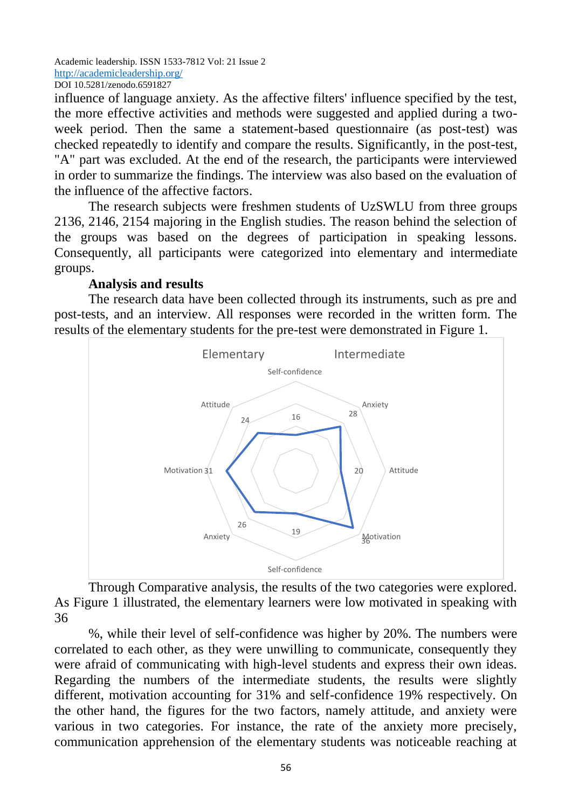influence of language anxiety. As the affective filters' influence specified by the test, the more effective activities and methods were suggested and applied during a twoweek period. Then the same a statement-based questionnaire (as post-test) was checked repeatedly to identify and compare the results. Significantly, in the post-test, "A" part was excluded. At the end of the research, the participants were interviewed in order to summarize the findings. The interview was also based on the evaluation of the influence of the affective factors.

The research subjects were freshmen students of UzSWLU from three groups 2136, 2146, 2154 majoring in the English studies. The reason behind the selection of the groups was based on the degrees of participation in speaking lessons. Consequently, all participants were categorized into elementary and intermediate groups.

## **Analysis and results**

The research data have been collected through its instruments, such as pre and post-tests, and an interview. All responses were recorded in the written form. The results of the elementary students for the pre-test were demonstrated in Figure 1.



Through Comparative analysis, the results of the two categories were explored. As Figure 1 illustrated, the elementary learners were low motivated in speaking with 36

%, while their level of self-confidence was higher by 20%. The numbers were correlated to each other, as they were unwilling to communicate, consequently they were afraid of communicating with high-level students and express their own ideas. Regarding the numbers of the intermediate students, the results were slightly different, motivation accounting for 31% and self-confidence 19% respectively. On the other hand, the figures for the two factors, namely attitude, and anxiety were various in two categories. For instance, the rate of the anxiety more precisely, communication apprehension of the elementary students was noticeable reaching at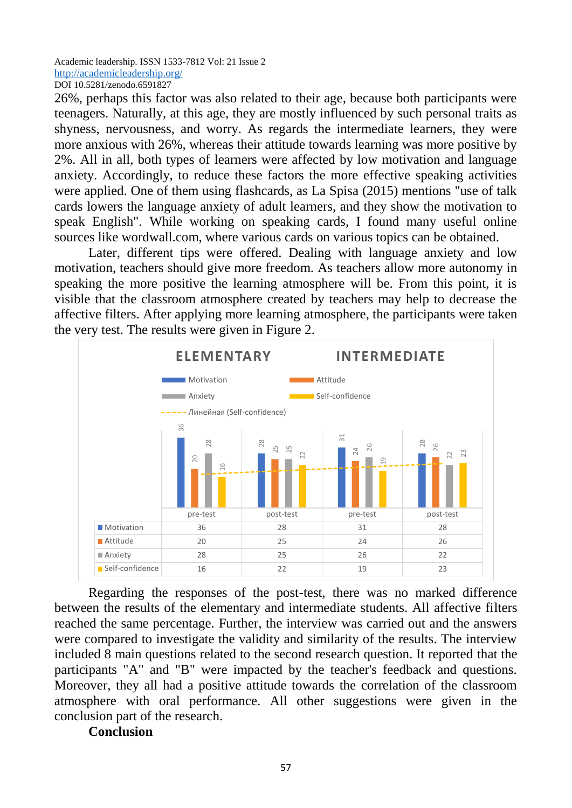26%, perhaps this factor was also related to their age, because both participants were teenagers. Naturally, at this age, they are mostly influenced by such personal traits as shyness, nervousness, and worry. As regards the intermediate learners, they were more anxious with 26%, whereas their attitude towards learning was more positive by 2%. All in all, both types of learners were affected by low motivation and language anxiety. Accordingly, to reduce these factors the more effective speaking activities were applied. One of them using flashcards, as La Spisa (2015) mentions "use of talk cards lowers the language anxiety of adult learners, and they show the motivation to speak English". While working on speaking cards, I found many useful online sources like wordwall.com, where various cards on various topics can be obtained.

Later, different tips were offered. Dealing with language anxiety and low motivation, teachers should give more freedom. As teachers allow more autonomy in speaking the more positive the learning atmosphere will be. From this point, it is visible that the classroom atmosphere created by teachers may help to decrease the affective filters. After applying more learning atmosphere, the participants were taken the very test. The results were given in Figure 2.



Regarding the responses of the post-test, there was no marked difference between the results of the elementary and intermediate students. All affective filters reached the same percentage. Further, the interview was carried out and the answers were compared to investigate the validity and similarity of the results. The interview included 8 main questions related to the second research question. It reported that the participants "A" and "B" were impacted by the teacher's feedback and questions. Moreover, they all had a positive attitude towards the correlation of the classroom atmosphere with oral performance. All other suggestions were given in the conclusion part of the research.

#### **Conclusion**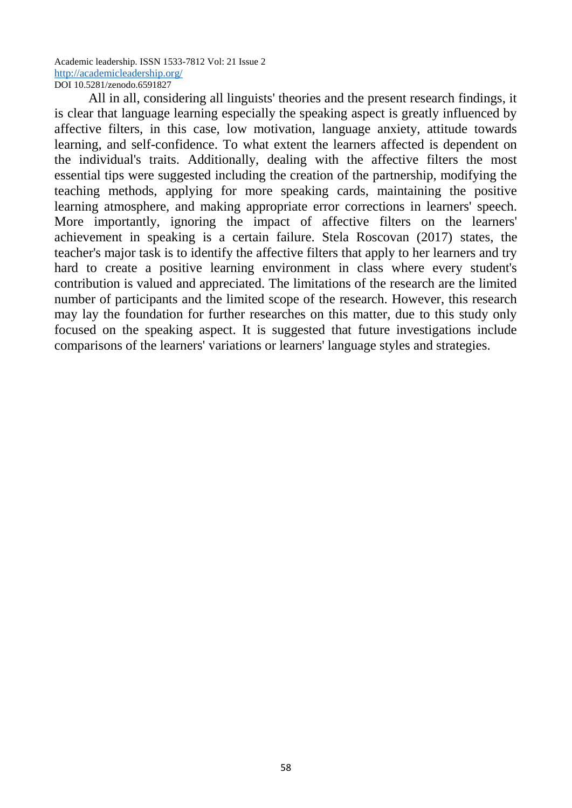All in all, considering all linguists' theories and the present research findings, it is clear that language learning especially the speaking aspect is greatly influenced by affective filters, in this case, low motivation, language anxiety, attitude towards learning, and self-confidence. To what extent the learners affected is dependent on the individual's traits. Additionally, dealing with the affective filters the most essential tips were suggested including the creation of the partnership, modifying the teaching methods, applying for more speaking cards, maintaining the positive learning atmosphere, and making appropriate error corrections in learners' speech. More importantly, ignoring the impact of affective filters on the learners' achievement in speaking is a certain failure. Stela Roscovan (2017) states, the teacher's major task is to identify the affective filters that apply to her learners and try hard to create a positive learning environment in class where every student's contribution is valued and appreciated. The limitations of the research are the limited number of participants and the limited scope of the research. However, this research may lay the foundation for further researches on this matter, due to this study only focused on the speaking aspect. It is suggested that future investigations include comparisons of the learners' variations or learners' language styles and strategies.